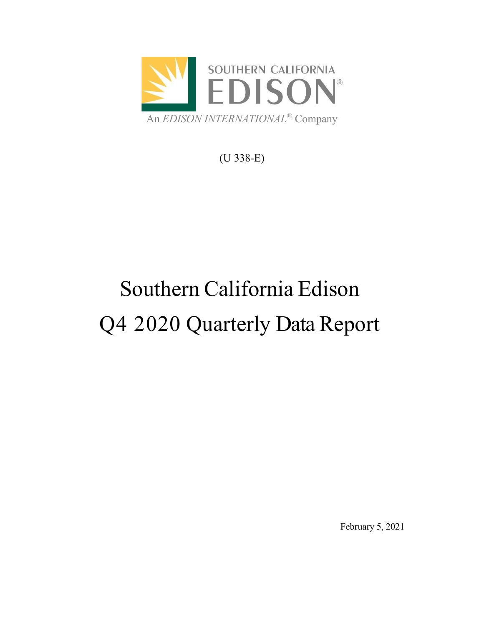

(U 338-E)

# Southern California Edison Q4 2020 Quarterly Data Report

February 5, 2021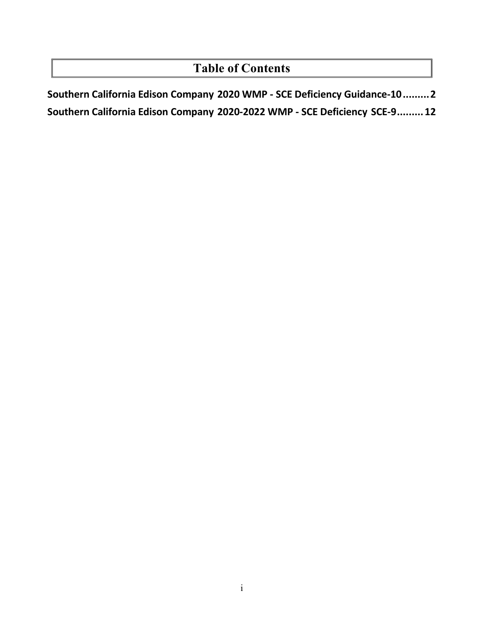## **Table of Contents**

**Southern California Edison Company 2020 WMP - SCE [Deficiency Guidance-10.........2](#page-3-0) Southern California Edison Company 2020-2022 WMP - [SCE Deficiency](#page-13-0) SCE-9.........12**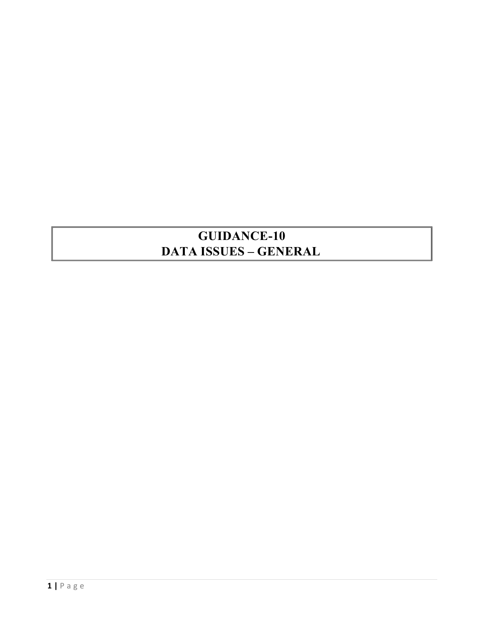## **GUIDANCE-10 DATA ISSUES – GENERAL**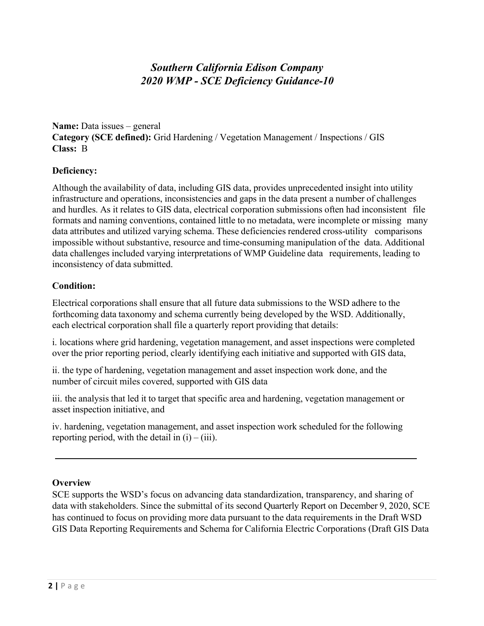### *Southern California Edison Company 2020 WMP - SCE Deficiency Guidance-10*

<span id="page-3-0"></span>**Name:** Data issues – general **Category (SCE defined):** Grid Hardening / Vegetation Management / Inspections / GIS **Class:** B

#### **Deficiency:**

Although the availability of data, including GIS data, provides unprecedented insight into utility infrastructure and operations, inconsistencies and gaps in the data present a number of challenges and hurdles. As it relates to GIS data, electrical corporation submissions often had inconsistent file formats and naming conventions, contained little to no metadata, were incomplete or missing many data attributes and utilized varying schema. These deficiencies rendered cross-utility comparisons impossible without substantive, resource and time-consuming manipulation of the data. Additional data challenges included varying interpretations of WMP Guideline data requirements, leading to inconsistency of data submitted.

#### **Condition:**

Electrical corporations shall ensure that all future data submissions to the WSD adhere to the forthcoming data taxonomy and schema currently being developed by the WSD. Additionally, each electrical corporation shall file a quarterly report providing that details:

i. locations where grid hardening, vegetation management, and asset inspections were completed over the prior reporting period, clearly identifying each initiative and supported with GIS data,

ii. the type of hardening, vegetation management and asset inspection work done, and the number of circuit miles covered, supported with GIS data

iii. the analysis that led it to target that specific area and hardening, vegetation management or asset inspection initiative, and

iv. hardening, vegetation management, and asset inspection work scheduled for the following reporting period, with the detail in  $(i) - (iii)$ .

#### **Overview**

SCE supports the WSD's focus on advancing data standardization, transparency, and sharing of data with stakeholders. Since the submittal of its second Quarterly Report on December 9, 2020, SCE has continued to focus on providing more data pursuant to the data requirements in the Draft WSD GIS Data Reporting Requirements and Schema for California Electric Corporations (Draft GIS Data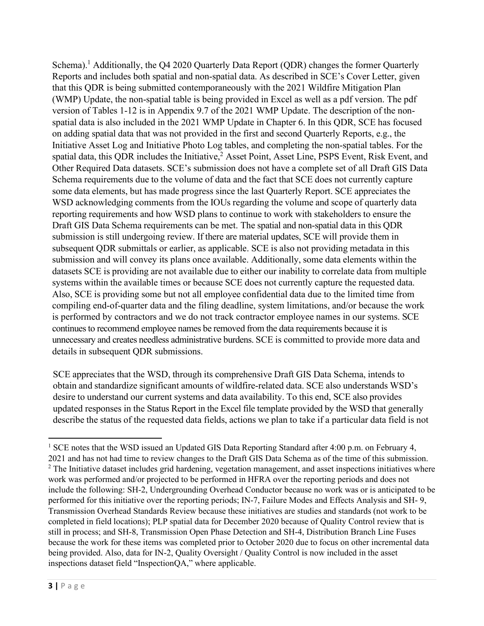Schema).<sup>1</sup> Additionally, the Q4 2020 Quarterly Data Report (QDR) changes the former Quarterly Reports and includes both spatial and non-spatial data. As described in SCE's Cover Letter, given that this QDR is being submitted contemporaneously with the 2021 Wildfire Mitigation Plan (WMP) Update, the non-spatial table is being provided in Excel as well as a pdf version. The pdf version of Tables 1-12 is in Appendix 9.7 of the 2021 WMP Update. The description of the nonspatial data is also included in the 2021 WMP Update in Chapter 6. In this QDR, SCE has focused on adding spatial data that was not provided in the first and second Quarterly Reports, e.g., the Initiative Asset Log and Initiative Photo Log tables, and completing the non-spatial tables. For the spatial data, this QDR includes the Initiative,<sup>2</sup> Asset Point, Asset Line, PSPS Event, Risk Event, and Other Required Data datasets. SCE's submission does not have a complete set of all Draft GIS Data Schema requirements due to the volume of data and the fact that SCE does not currently capture some data elements, but has made progress since the last Quarterly Report. SCE appreciates the WSD acknowledging comments from the IOUs regarding the volume and scope of quarterly data reporting requirements and how WSD plans to continue to work with stakeholders to ensure the Draft GIS Data Schema requirements can be met. The spatial and non-spatial data in this QDR submission is still undergoing review. If there are material updates, SCE will provide them in subsequent QDR submittals or earlier, as applicable. SCE is also not providing metadata in this submission and will convey its plans once available. Additionally, some data elements within the datasets SCE is providing are not available due to either our inability to correlate data from multiple systems within the available times or because SCE does not currently capture the requested data. Also, SCE is providing some but not all employee confidential data due to the limited time from compiling end-of-quarter data and the filing deadline, system limitations, and/or because the work is performed by contractors and we do not track contractor employee names in our systems. SCE continues to recommend employee names be removed from the data requirements because it is unnecessary and creates needless administrative burdens. SCE is committed to provide more data and details in subsequent QDR submissions.

SCE appreciates that the WSD, through its comprehensive Draft GIS Data Schema, intends to obtain and standardize significant amounts of wildfire-related data. SCE also understands WSD's desire to understand our current systems and data availability. To this end, SCE also provides updated responses in the Status Report in the Excel file template provided by the WSD that generally describe the status of the requested data fields, actions we plan to take if a particular data field is not

<sup>&</sup>lt;sup>1</sup> SCE notes that the WSD issued an Updated GIS Data Reporting Standard after 4:00 p.m. on February 4, 2021 and has not had time to review changes to the Draft GIS Data Schema as of the time of this submission. <sup>2</sup> The Initiative dataset includes grid hardening, vegetation management, and asset inspections initiatives where work was performed and/or projected to be performed in HFRA over the reporting periods and does not include the following: SH-2, Undergrounding Overhead Conductor because no work was or is anticipated to be performed for this initiative over the reporting periods; IN-7, Failure Modes and Effects Analysis and SH- 9, Transmission Overhead Standards Review because these initiatives are studies and standards (not work to be completed in field locations); PLP spatial data for December 2020 because of Quality Control review that is still in process; and SH-8, Transmission Open Phase Detection and SH-4, Distribution Branch Line Fuses because the work for these items was completed prior to October 2020 due to focus on other incremental data being provided. Also, data for IN-2, Quality Oversight / Quality Control is now included in the asset inspections dataset field "InspectionQA," where applicable.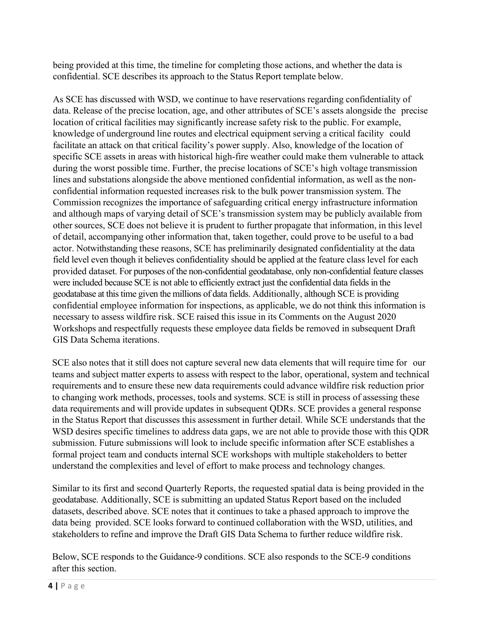being provided at this time, the timeline for completing those actions, and whether the data is confidential. SCE describes its approach to the Status Report template below.

As SCE has discussed with WSD, we continue to have reservations regarding confidentiality of data. Release of the precise location, age, and other attributes of SCE's assets alongside the precise location of critical facilities may significantly increase safety risk to the public. For example, knowledge of underground line routes and electrical equipment serving a critical facility could facilitate an attack on that critical facility's power supply. Also, knowledge of the location of specific SCE assets in areas with historical high-fire weather could make them vulnerable to attack during the worst possible time. Further, the precise locations of SCE's high voltage transmission lines and substations alongside the above mentioned confidential information, as well as the nonconfidential information requested increases risk to the bulk power transmission system. The Commission recognizes the importance of safeguarding critical energy infrastructure information and although maps of varying detail of SCE's transmission system may be publicly available from other sources, SCE does not believe it is prudent to further propagate that information, in this level of detail, accompanying other information that, taken together, could prove to be useful to a bad actor. Notwithstanding these reasons, SCE has preliminarily designated confidentiality at the data field level even though it believes confidentiality should be applied at the feature class level for each provided dataset. For purposes of the non-confidential geodatabase, only non-confidential feature classes were included because SCE is not able to efficiently extract just the confidential data fields in the geodatabase at this time given the millions of data fields. Additionally, although SCE is providing confidential employee information for inspections, as applicable, we do not think this information is necessary to assess wildfire risk. SCE raised this issue in its Comments on the August 2020 Workshops and respectfully requests these employee data fields be removed in subsequent Draft GIS Data Schema iterations.

SCE also notes that it still does not capture several new data elements that will require time for our teams and subject matter experts to assess with respect to the labor, operational, system and technical requirements and to ensure these new data requirements could advance wildfire risk reduction prior to changing work methods, processes, tools and systems. SCE is still in process of assessing these data requirements and will provide updates in subsequent QDRs. SCE provides a general response in the Status Report that discusses this assessment in further detail. While SCE understands that the WSD desires specific timelines to address data gaps, we are not able to provide those with this QDR submission. Future submissions will look to include specific information after SCE establishes a formal project team and conducts internal SCE workshops with multiple stakeholders to better understand the complexities and level of effort to make process and technology changes.

Similar to its first and second Quarterly Reports, the requested spatial data is being provided in the geodatabase. Additionally, SCE is submitting an updated Status Report based on the included datasets, described above. SCE notes that it continues to take a phased approach to improve the data being provided. SCE looks forward to continued collaboration with the WSD, utilities, and stakeholders to refine and improve the Draft GIS Data Schema to further reduce wildfire risk.

Below, SCE responds to the Guidance-9 conditions. SCE also responds to the SCE-9 conditions after this section.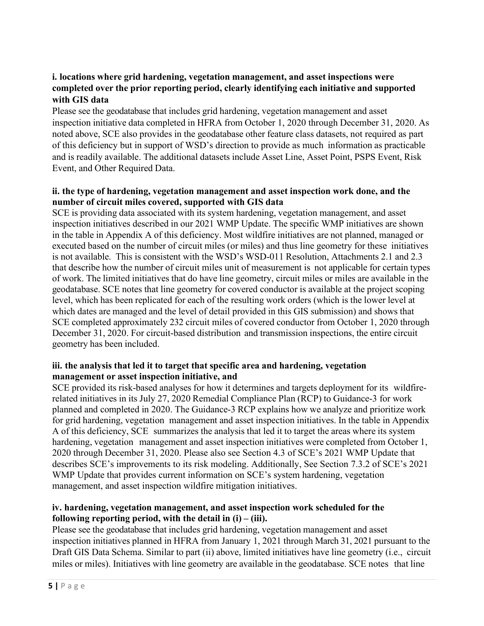#### **i. locations where grid hardening, vegetation management, and asset inspections were completed over the prior reporting period, clearly identifying each initiative and supported with GIS data**

Please see the geodatabase that includes grid hardening, vegetation management and asset inspection initiative data completed in HFRA from October 1, 2020 through December 31, 2020. As noted above, SCE also provides in the geodatabase other feature class datasets, not required as part of this deficiency but in support of WSD's direction to provide as much information as practicable and is readily available. The additional datasets include Asset Line, Asset Point, PSPS Event, Risk Event, and Other Required Data.

#### **ii. the type of hardening, vegetation management and asset inspection work done, and the number of circuit miles covered, supported with GIS data**

SCE is providing data associated with its system hardening, vegetation management, and asset inspection initiatives described in our 2021 WMP Update. The specific WMP initiatives are shown in the table in Appendix A of this deficiency. Most wildfire initiatives are not planned, managed or executed based on the number of circuit miles (or miles) and thus line geometry for these initiatives is not available. This is consistent with the WSD's WSD-011 Resolution, Attachments 2.1 and 2.3 that describe how the number of circuit miles unit of measurement is not applicable for certain types of work. The limited initiatives that do have line geometry, circuit miles or miles are available in the geodatabase. SCE notes that line geometry for covered conductor is available at the project scoping level, which has been replicated for each of the resulting work orders (which is the lower level at which dates are managed and the level of detail provided in this GIS submission) and shows that SCE completed approximately 232 circuit miles of covered conductor from October 1, 2020 through December 31, 2020. For circuit-based distribution and transmission inspections, the entire circuit geometry has been included.

#### **iii. the analysis that led it to target that specific area and hardening, vegetation management or asset inspection initiative, and**

SCE provided its risk-based analyses for how it determines and targets deployment for its wildfirerelated initiatives in its July 27, 2020 Remedial Compliance Plan (RCP) to Guidance-3 for work planned and completed in 2020. The Guidance-3 RCP explains how we analyze and prioritize work for grid hardening, vegetation management and asset inspection initiatives. In the table in Appendix A of this deficiency, SCE summarizes the analysis that led it to target the areas where its system hardening, vegetation management and asset inspection initiatives were completed from October 1, 2020 through December 31, 2020. Please also see Section 4.3 of SCE's 2021 WMP Update that describes SCE's improvements to its risk modeling. Additionally, See Section 7.3.2 of SCE's 2021 WMP Update that provides current information on SCE's system hardening, vegetation management, and asset inspection wildfire mitigation initiatives.

#### **iv. hardening, vegetation management, and asset inspection work scheduled for the following reporting period,** with the detail in  $(i) - (iii)$ .

Please see the geodatabase that includes grid hardening, vegetation management and asset inspection initiatives planned in HFRA from January 1, 2021 through March 31, 2021 pursuant to the Draft GIS Data Schema. Similar to part (ii) above, limited initiatives have line geometry (i.e., circuit miles or miles). Initiatives with line geometry are available in the geodatabase. SCE notes that line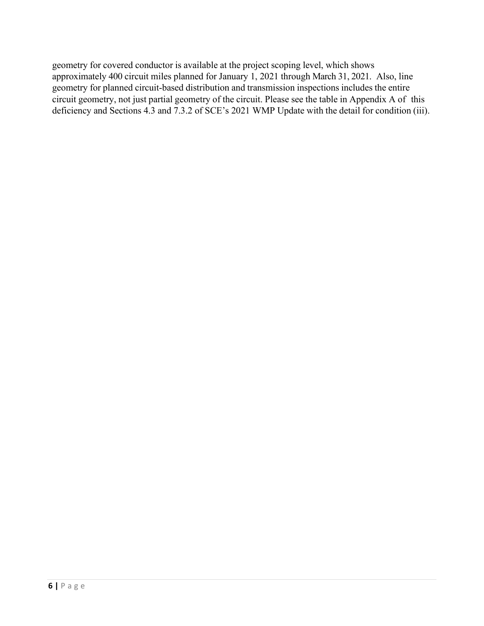geometry for covered conductor is available at the project scoping level, which shows approximately 400 circuit miles planned for January 1, 2021 through March 31, 2021. Also, line geometry for planned circuit-based distribution and transmission inspections includes the entire circuit geometry, not just partial geometry of the circuit. Please see the table in Appendix A of this deficiency and Sections 4.3 and 7.3.2 of SCE's 2021 WMP Update with the detail for condition (iii).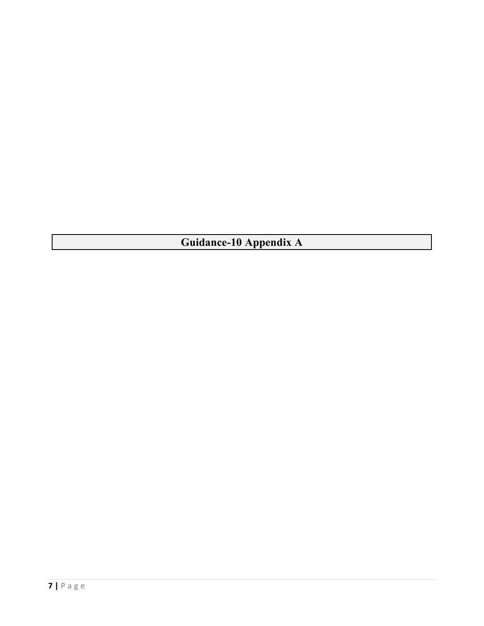**Guidance-10 Appendix A**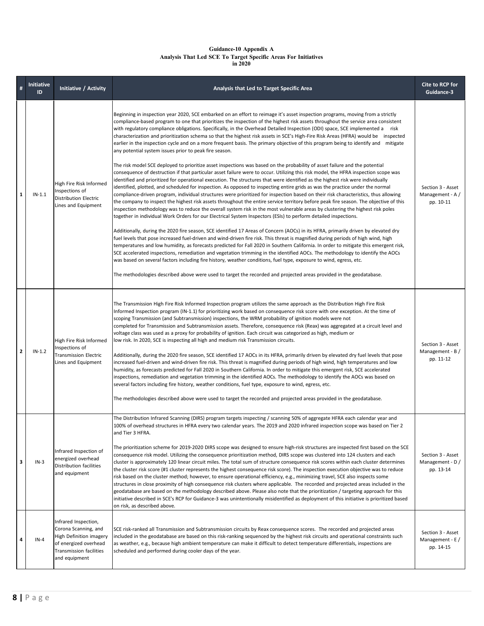#### **Guidance-10 Appendix A Analysis That Led SCE To Target Specific Areas For Initiatives in 2020**

| #            | Initiative<br>ID | Initiative / Activity                                                                                                                        | Analysis that Led to Target Specific Area                                                                                                                                                                                                                                                                                                                                                                                                                                                                                                                                                                                                                                                                                                                                                                                                                                                                                                                                                                                                                                                                                                                                                                                                                                                                                                                                                                                                                                                                                                                                                                                                                                                                                                                                                                                                                                                                                                                                                                                                                                                                                                                                                                                                                                                                                                                                                                                                                                                                                                                                                                                  | Cite to RCP for<br>Guidance-3                      |
|--------------|------------------|----------------------------------------------------------------------------------------------------------------------------------------------|----------------------------------------------------------------------------------------------------------------------------------------------------------------------------------------------------------------------------------------------------------------------------------------------------------------------------------------------------------------------------------------------------------------------------------------------------------------------------------------------------------------------------------------------------------------------------------------------------------------------------------------------------------------------------------------------------------------------------------------------------------------------------------------------------------------------------------------------------------------------------------------------------------------------------------------------------------------------------------------------------------------------------------------------------------------------------------------------------------------------------------------------------------------------------------------------------------------------------------------------------------------------------------------------------------------------------------------------------------------------------------------------------------------------------------------------------------------------------------------------------------------------------------------------------------------------------------------------------------------------------------------------------------------------------------------------------------------------------------------------------------------------------------------------------------------------------------------------------------------------------------------------------------------------------------------------------------------------------------------------------------------------------------------------------------------------------------------------------------------------------------------------------------------------------------------------------------------------------------------------------------------------------------------------------------------------------------------------------------------------------------------------------------------------------------------------------------------------------------------------------------------------------------------------------------------------------------------------------------------------------|----------------------------------------------------|
| $\mathbf{1}$ | $IN-1.1$         | High Fire Risk Informed<br>Inspections of<br><b>Distribution Electric</b><br>Lines and Equipment                                             | Beginning in inspection year 2020, SCE embarked on an effort to reimage it's asset inspection programs, moving from a strictly<br>compliance-based program to one that prioritizes the inspection of the highest risk assets throughout the service area consistent<br>with regulatory compliance obligations. Specifically, in the Overhead Detailed Inspection (ODI) space, SCE implemented a risk<br>characterization and prioritization schema so that the highest risk assets in SCE's High-Fire Risk Areas (HFRA) would be inspected<br>earlier in the inspection cycle and on a more frequent basis. The primary objective of this program being to identify and mitigate<br>any potential system issues prior to peak fire season.<br>The risk model SCE deployed to prioritize asset inspections was based on the probability of asset failure and the potential<br>consequence of destruction if that particular asset failure were to occur. Utilizing this risk model, the HFRA inspection scope was<br>identified and prioritized for operational execution. The structures that were identified as the highest risk were individually<br>identified, plotted, and scheduled for inspection. As opposed to inspecting entire grids as was the practice under the normal<br>compliance-driven program, individual structures were prioritized for inspection based on their risk characteristics, thus allowing<br>the company to inspect the highest risk assets throughout the entire service territory before peak fire season. The objective of this<br>inspection methodology was to reduce the overall system risk in the most vulnerable areas by clustering the highest risk poles<br>together in individual Work Orders for our Electrical System Inspectors (ESIs) to perform detailed inspections.<br>Additionally, during the 2020 fire season, SCE identified 17 Areas of Concern (AOCs) in its HFRA, primarily driven by elevated dry<br>fuel levels that pose increased fuel-driven and wind-driven fire risk. This threat is magnified during periods of high wind, high<br>temperatures and low humidity, as forecasts predicted for Fall 2020 in Southern California. In order to mitigate this emergent risk,<br>SCE accelerated inspections, remediation and vegetation trimming in the identified AOCs. The methodology to identify the AOCs<br>was based on several factors including fire history, weather conditions, fuel type, exposure to wind, egress, etc.<br>The methodologies described above were used to target the recorded and projected areas provided in the geodatabase. | Section 3 - Asset<br>Management - A /<br>pp. 10-11 |
| $\mathbf{2}$ | $IN-1.2$         | High Fire Risk Informed<br>Inspections of<br>Transmission Electric<br>Lines and Equipment                                                    | The Transmission High Fire Risk Informed Inspection program utilizes the same approach as the Distribution High Fire Risk<br>Informed Inspection program (IN-1.1) for prioritizing work based on consequence risk score with one exception. At the time of<br>scoping Transmission (and Subtransmission) inspections, the WRM probability of ignition models were not<br>completed for Transmission and Subtransmission assets. Therefore, consequence risk (Reax) was aggregated at a circuit level and<br>voltage class was used as a proxy for probability of ignition. Each circuit was categorized as high, medium or<br>low risk. In 2020, SCE is inspecting all high and medium risk Transmission circuits.<br>Additionally, during the 2020 fire season, SCE identified 17 AOCs in its HFRA, primarily driven by elevated dry fuel levels that pose<br>increased fuel-driven and wind-driven fire risk. This threat is magnified during periods of high wind, high temperatures and low<br>humidity, as forecasts predicted for Fall 2020 in Southern California. In order to mitigate this emergent risk, SCE accelerated<br>inspections, remediation and vegetation trimming in the identified AOCs. The methodology to identify the AOCs was based on<br>several factors including fire history, weather conditions, fuel type, exposure to wind, egress, etc.<br>The methodologies described above were used to target the recorded and projected areas provided in the geodatabase.                                                                                                                                                                                                                                                                                                                                                                                                                                                                                                                                                                                                                                                                                                                                                                                                                                                                                                                                                                                                                                                                                                                           | Section 3 - Asset<br>Management - B /<br>pp. 11-12 |
| 3            | $IN-3$           | Infrared Inspection of<br>energized overhead<br>Distribution facilities<br>and equipment                                                     | The Distribution Infrared Scanning (DIRS) program targets inspecting / scanning 50% of aggregate HFRA each calendar year and<br>100% of overhead structures in HFRA every two calendar years. The 2019 and 2020 infrared inspection scope was based on Tier 2<br>and Tier 3 HFRA.<br>The prioritization scheme for 2019-2020 DIRS scope was designed to ensure high-risk structures are inspected first based on the SCE<br>consequence risk model. Utilizing the consequence prioritization method, DIRS scope was clustered into 124 clusters and each<br>cluster is approximately 120 linear circuit miles. The total sum of structure consequence risk scores within each cluster determines<br>the cluster risk score (#1 cluster represents the highest consequence risk score). The inspection execution objective was to reduce<br>risk based on the cluster method; however, to ensure operational efficiency, e.g., minimizing travel, SCE also inspects some<br>structures in close proximity of high consequence risk clusters where applicable. The recorded and projected areas included in the<br>geodatabase are based on the methodology described above. Please also note that the prioritization / targeting approach for this<br>initiative described in SCE's RCP for Guidance-3 was unintentionally misidentified as deployment of this initiative is prioritized based<br>on risk, as described above.                                                                                                                                                                                                                                                                                                                                                                                                                                                                                                                                                                                                                                                                                                                                                                                                                                                                                                                                                                                                                                                                                                                                                                                              | Section 3 - Asset<br>Management - D /<br>pp. 13-14 |
| 4            | $IN-4$           | Infrared Inspection,<br>Corona Scanning, and<br>High Definition imagery<br>of energized overhead<br>Transmission facilities<br>and equipment | SCE risk-ranked all Transmission and Subtransmission circuits by Reax consequence scores. The recorded and projected areas<br>included in the geodatabase are based on this risk-ranking sequenced by the highest risk circuits and operational constraints such<br>as weather, e.g., because high ambient temperature can make it difficult to detect temperature differentials, inspections are<br>scheduled and performed during cooler days of the year.                                                                                                                                                                                                                                                                                                                                                                                                                                                                                                                                                                                                                                                                                                                                                                                                                                                                                                                                                                                                                                                                                                                                                                                                                                                                                                                                                                                                                                                                                                                                                                                                                                                                                                                                                                                                                                                                                                                                                                                                                                                                                                                                                               | Section 3 - Asset<br>Management - E /<br>pp. 14-15 |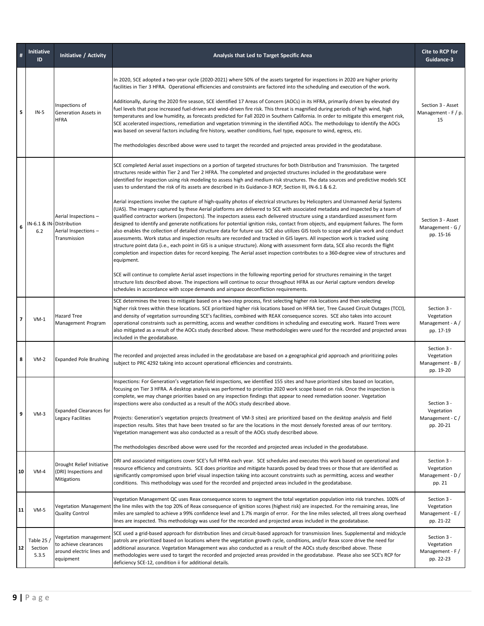|                | <b>Initiative</b><br>ID          | Initiative / Activity                                                                    | Analysis that Led to Target Specific Area                                                                                                                                                                                                                                                                                                                                                                                                                                                                                                                                                                                                                                                                                                                                                                                                                                                                                                                                                                                                                                                                                                                                                                                                                                                                                                                                                                                                                                                                                                                                                                                                                                                                                                                                                                                                                                                                                                                                                      | Cite to RCP for<br>Guidance-3                              |
|----------------|----------------------------------|------------------------------------------------------------------------------------------|------------------------------------------------------------------------------------------------------------------------------------------------------------------------------------------------------------------------------------------------------------------------------------------------------------------------------------------------------------------------------------------------------------------------------------------------------------------------------------------------------------------------------------------------------------------------------------------------------------------------------------------------------------------------------------------------------------------------------------------------------------------------------------------------------------------------------------------------------------------------------------------------------------------------------------------------------------------------------------------------------------------------------------------------------------------------------------------------------------------------------------------------------------------------------------------------------------------------------------------------------------------------------------------------------------------------------------------------------------------------------------------------------------------------------------------------------------------------------------------------------------------------------------------------------------------------------------------------------------------------------------------------------------------------------------------------------------------------------------------------------------------------------------------------------------------------------------------------------------------------------------------------------------------------------------------------------------------------------------------------|------------------------------------------------------------|
| 5              | $IN-5$                           | Inspections of<br>Generation Assets in<br><b>HFRA</b>                                    | In 2020, SCE adopted a two-year cycle (2020-2021) where 50% of the assets targeted for inspections in 2020 are higher priority<br>facilities in Tier 3 HFRA. Operational efficiencies and constraints are factored into the scheduling and execution of the work.<br>Additionally, during the 2020 fire season, SCE identified 17 Areas of Concern (AOCs) in its HFRA, primarily driven by elevated dry<br>fuel levels that pose increased fuel-driven and wind-driven fire risk. This threat is magnified during periods of high wind, high<br>temperatures and low humidity, as forecasts predicted for Fall 2020 in Southern California. In order to mitigate this emergent risk,<br>SCE accelerated inspections, remediation and vegetation trimming in the identified AOCs. The methodology to identify the AOCs<br>was based on several factors including fire history, weather conditions, fuel type, exposure to wind, egress, etc.<br>The methodologies described above were used to target the recorded and projected areas provided in the geodatabase.                                                                                                                                                                                                                                                                                                                                                                                                                                                                                                                                                                                                                                                                                                                                                                                                                                                                                                                             | Section 3 - Asset<br>Management - F / p.<br>15             |
| 6              | 6.2                              | Aerial Inspections -<br>IN-6.1 & IN-Distribution<br>Aerial Inspections -<br>Transmission | SCE completed Aerial asset inspections on a portion of targeted structures for both Distribution and Transmission. The targeted<br>structures reside within Tier 2 and Tier 2 HFRA. The completed and projected structures included in the geodatabase were<br>identified for inspection using risk modeling to assess high and medium risk structures. The data sources and predictive models SCE<br>uses to understand the risk of its assets are described in its Guidance-3 RCP, Section III, IN-6.1 & 6.2.<br>Aerial inspections involve the capture of high-quality photos of electrical structures by Helicopters and Unmanned Aerial Systems<br>(UAS). The imagery captured by these Aerial platforms are delivered to SCE with associated metadata and inspected by a team of<br>qualified contractor workers (inspectors). The inspectors assess each delivered structure using a standardized assessment form<br>designed to identify and generate notifications for potential ignition risks, contact from objects, and equipment failures. The form<br>also enables the collection of detailed structure data for future use. SCE also utilizes GIS tools to scope and plan work and conduct<br>assessments. Work status and inspection results are recorded and tracked in GIS layers. All inspection work is tracked using<br>structure point data (i.e., each point in GIS is a unique structure). Along with assessment form data, SCE also records the flight<br>completion and inspection dates for record keeping. The Aerial asset inspection contributes to a 360-degree view of structures and<br>equipment.<br>SCE will continue to complete Aerial asset inspections in the following reporting period for structures remaining in the target<br>structure lists described above. The inspections will continue to occur throughout HFRA as our Aerial capture vendors develop<br>schedules in accordance with scope demands and airspace deconfliction requirements. | Section 3 - Asset<br>Management - G /<br>pp. 15-16         |
| $\overline{7}$ | $VM-1$                           | Hazard Tree<br>Management Program                                                        | SCE determines the trees to mitigate based on a two-step process, first selecting higher risk locations and then selecting<br>higher risk trees within these locations. SCE prioritized higher risk locations based on HFRA tier, Tree Caused Circuit Outages (TCCI),<br>and density of vegetation surrounding SCE's facilities, combined with REAX consequence scores. SCE also takes into account<br>operational constraints such as permitting, access and weather conditions in scheduling and executing work. Hazard Trees were<br>also mitigated as a result of the AOCs study described above. These methodologies were used for the recorded and projected areas<br>included in the geodatabase.                                                                                                                                                                                                                                                                                                                                                                                                                                                                                                                                                                                                                                                                                                                                                                                                                                                                                                                                                                                                                                                                                                                                                                                                                                                                                       | Section 3 -<br>Vegetation<br>Management - A /<br>pp. 17-19 |
| 8              | $VM-2$                           | <b>Expanded Pole Brushing</b>                                                            | The recorded and projected areas included in the geodatabase are based on a geographical grid approach and prioritizing poles<br>subject to PRC 4292 taking into account operational efficiencies and constraints.                                                                                                                                                                                                                                                                                                                                                                                                                                                                                                                                                                                                                                                                                                                                                                                                                                                                                                                                                                                                                                                                                                                                                                                                                                                                                                                                                                                                                                                                                                                                                                                                                                                                                                                                                                             | Section 3 -<br>Vegetation<br>Management - B /<br>pp. 19-20 |
| 9              | $VM-3$                           | <b>Expanded Clearances for</b><br>Legacy Facilities                                      | Inspections: For Generation's vegetation field inspections, we identified 155 sites and have prioritized sites based on location,<br>focusing on Tier 3 HFRA. A desktop analysis was performed to prioritize 2020 work scope based on risk. Once the inspection is<br>complete, we may change priorities based on any inspection findings that appear to need remediation sooner. Vegetation<br>inspections were also conducted as a result of the AOCs study described above.<br>Projects: Generation's vegetation projects (treatment of VM-3 sites) are prioritized based on the desktop analysis and field<br>inspection results. Sites that have been treated so far are the locations in the most densely forested areas of our territory.<br>Vegetation management was also conducted as a result of the AOCs study described above.<br>The methodologies described above were used for the recorded and projected areas included in the geodatabase.                                                                                                                                                                                                                                                                                                                                                                                                                                                                                                                                                                                                                                                                                                                                                                                                                                                                                                                                                                                                                                   | Section 3 -<br>Vegetation<br>Management - C/<br>pp. 20-21  |
| 10             | $VM-4$                           | Drought Relief Initiative<br>(DRI) Inspections and<br>Mitigations                        | DRI and associated mitigations cover SCE's full HFRA each year. SCE schedules and executes this work based on operational and<br>resource efficiency and constraints. SCE does prioritize and mitigate hazards posed by dead trees or those that are identified as<br>significantly compromised upon brief visual inspection taking into account constraints such as permitting, access and weather<br>conditions. This methodology was used for the recorded and projected areas included in the geodatabase.                                                                                                                                                                                                                                                                                                                                                                                                                                                                                                                                                                                                                                                                                                                                                                                                                                                                                                                                                                                                                                                                                                                                                                                                                                                                                                                                                                                                                                                                                 | Section 3 -<br>Vegetation<br>Management - D /<br>pp. 21    |
| 11             | $VM-5$                           | Vegetation Management<br><b>Quality Control</b>                                          | Vegetation Management QC uses Reax consequence scores to segment the total vegetation population into risk tranches. 100% of<br>the line miles with the top 20% of Reax consequence of ignition scores (highest risk) are inspected. For the remaining areas, line<br>miles are sampled to achieve a 99% confidence level and 1.7% margin of error. For the line miles selected, all trees along overhead<br>lines are inspected. This methodology was used for the recorded and projected areas included in the geodatabase.                                                                                                                                                                                                                                                                                                                                                                                                                                                                                                                                                                                                                                                                                                                                                                                                                                                                                                                                                                                                                                                                                                                                                                                                                                                                                                                                                                                                                                                                  | Section 3 -<br>Vegetation<br>Management - E /<br>pp. 21-22 |
| 12             | Table 25 $/$<br>Section<br>5.3.5 | Vegetation management<br>to achieve clearances<br>around electric lines and<br>equipment | SCE used a grid-based approach for distribution lines and circuit-based approach for transmission lines. Supplemental and midcycle<br>patrols are prioritized based on locations where the vegetation growth cycle, conditions, and/or Reax score drive the need for<br>additional assurance. Vegetation Management was also conducted as a result of the AOCs study described above. These<br>methodologies were used to target the recorded and projected areas provided in the geodatabase. Please also see SCE's RCP for<br>deficiency SCE-12, condition ii for additional details.                                                                                                                                                                                                                                                                                                                                                                                                                                                                                                                                                                                                                                                                                                                                                                                                                                                                                                                                                                                                                                                                                                                                                                                                                                                                                                                                                                                                        | Section 3 -<br>Vegetation<br>Management - F /<br>pp. 22-23 |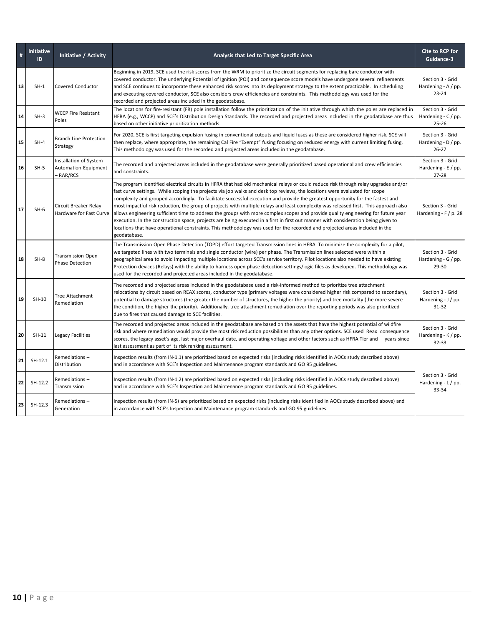| #  | <b>Initiative</b><br>ID | <b>Initiative / Activity</b>                                     | Analysis that Led to Target Specific Area                                                                                                                                                                                                                                                                                                                                                                                                                                                                                                                                                                                                                                                                                                                                                                                                                                                                                                                                | Cite to RCP for<br>Guidance-3                           |
|----|-------------------------|------------------------------------------------------------------|--------------------------------------------------------------------------------------------------------------------------------------------------------------------------------------------------------------------------------------------------------------------------------------------------------------------------------------------------------------------------------------------------------------------------------------------------------------------------------------------------------------------------------------------------------------------------------------------------------------------------------------------------------------------------------------------------------------------------------------------------------------------------------------------------------------------------------------------------------------------------------------------------------------------------------------------------------------------------|---------------------------------------------------------|
| 13 | $SH-1$                  | <b>Covered Conductor</b>                                         | Beginning in 2019, SCE used the risk scores from the WRM to prioritize the circuit segments for replacing bare conductor with<br>covered conductor. The underlying Potential of Ignition (POI) and consequence score models have undergone several refinements<br>and SCE continues to incorporate these enhanced risk scores into its deployment strategy to the extent practicable. In scheduling<br>and executing covered conductor, SCE also considers crew efficiencies and constraints. This methodology was used for the<br>recorded and projected areas included in the geodatabase.                                                                                                                                                                                                                                                                                                                                                                             | Section 3 - Grid<br>Hardening - $A / pp$ .<br>$23 - 24$ |
| 14 | $SH-3$                  | <b>WCCP Fire Resistant</b><br>Poles                              | The locations for fire-resistant (FR) pole installation follow the prioritization of the initiative through which the poles are replaced in<br>HFRA (e.g., WCCP) and SCE's Distribution Design Standards. The recorded and projected areas included in the geodatabase are thus<br>based on other initiative prioritization methods.                                                                                                                                                                                                                                                                                                                                                                                                                                                                                                                                                                                                                                     | Section 3 - Grid<br>Hardening - $C$ / pp.<br>$25 - 26$  |
| 15 | $SH-4$                  | <b>Branch Line Protection</b><br>Strategy                        | For 2020, SCE is first targeting expulsion fusing in conventional cutouts and liquid fuses as these are considered higher risk. SCE will<br>then replace, where appropriate, the remaining Cal Fire "Exempt" fusing focusing on reduced energy with current limiting fusing.<br>This methodology was used for the recorded and projected areas included in the geodatabase.                                                                                                                                                                                                                                                                                                                                                                                                                                                                                                                                                                                              | Section 3 - Grid<br>Hardening - $D / pp$ .<br>$26 - 27$ |
| 16 | $SH-5$                  | Installation of System<br>Automation Equipment<br><b>RAR/RCS</b> | The recorded and projected areas included in the geodatabase were generally prioritized based operational and crew efficiencies<br>and constraints.                                                                                                                                                                                                                                                                                                                                                                                                                                                                                                                                                                                                                                                                                                                                                                                                                      | Section 3 - Grid<br>Hardening - $E / pp$ .<br>$27 - 28$ |
| 17 | $SH-6$                  | Circuit Breaker Relay<br>Hardware for Fast Curve                 | The program identified electrical circuits in HFRA that had old mechanical relays or could reduce risk through relay upgrades and/or<br>fast curve settings. While scoping the projects via job walks and desk top reviews, the locations were evaluated for scope<br>complexity and grouped accordingly. To facilitate successful execution and provide the greatest opportunity for the fastest and<br>most impactful risk reduction, the group of projects with multiple relays and least complexity was released first. This approach also<br>allows engineering sufficient time to address the groups with more complex scopes and provide quality engineering for future year<br>execution. In the construction space, projects are being executed in a first in first out manner with consideration being given to<br>locations that have operational constraints. This methodology was used for the recorded and projected areas included in the<br>geodatabase. | Section 3 - Grid<br>Hardening - $F / p$ . 28            |
| 18 | $SH-8$                  | Transmission Open<br><b>Phase Detection</b>                      | The Transmission Open Phase Detection (TOPD) effort targeted Transmission lines in HFRA. To minimize the complexity for a pilot,<br>we targeted lines with two terminals and single conductor (wire) per phase. The Transmission lines selected were within a<br>geographical area to avoid impacting multiple locations across SCE's service territory. Pilot locations also needed to have existing<br>Protection devices (Relays) with the ability to harness open phase detection settings/logic files as developed. This methodology was<br>used for the recorded and projected areas included in the geodatabase.                                                                                                                                                                                                                                                                                                                                                  | Section 3 - Grid<br>Hardening - $G / pp$ .<br>$29 - 30$ |
| 19 | SH-10                   | Tree Attachment<br>Remediation                                   | The recorded and projected areas included in the geodatabase used a risk-informed method to prioritize tree attachment<br>relocations by circuit based on REAX scores, conductor type (primary voltages were considered higher risk compared to secondary),<br>potential to damage structures (the greater the number of structures, the higher the priority) and tree mortality (the more severe<br>the condition, the higher the priority). Additionally, tree attachment remediation over the reporting periods was also prioritized<br>due to fires that caused damage to SCE facilities.                                                                                                                                                                                                                                                                                                                                                                            | Section 3 - Grid<br>Hardening $-1$ / pp.<br>$31 - 32$   |
| 20 | $SH-11$                 | Legacy Facilities                                                | The recorded and projected areas included in the geodatabase are based on the assets that have the highest potential of wildfire<br>risk and where remediation would provide the most risk reduction possibilities than any other options. SCE used Reax consequence<br>scores, the legacy asset's age, last major overhaul date, and operating voltage and other factors such as HFRA Tier and years since<br>last assessment as part of its risk ranking assessment.                                                                                                                                                                                                                                                                                                                                                                                                                                                                                                   | Section 3 - Grid<br>Hardening - K / pp.<br>$32 - 33$    |
| 21 | SH-12.1                 | Remediations-<br>Distribution                                    | Inspection results (from IN-1.1) are prioritized based on expected risks (including risks identified in AOCs study described above)<br>and in accordance with SCE's Inspection and Maintenance program standards and GO 95 guidelines.                                                                                                                                                                                                                                                                                                                                                                                                                                                                                                                                                                                                                                                                                                                                   |                                                         |
| 22 | SH-12.2                 | Remediations-<br>Transmission                                    | Inspection results (from IN-1.2) are prioritized based on expected risks (including risks identified in AOCs study described above)<br>and in accordance with SCE's Inspection and Maintenance program standards and GO 95 guidelines.                                                                                                                                                                                                                                                                                                                                                                                                                                                                                                                                                                                                                                                                                                                                   | Section 3 - Grid<br>Hardening - L / pp.<br>33-34        |
| 23 | $SH-12.3$               | Remediations-<br>Generation                                      | Inspection results (from IN-5) are prioritized based on expected risks (including risks identified in AOCs study described above) and<br>in accordance with SCE's Inspection and Maintenance program standards and GO 95 guidelines.                                                                                                                                                                                                                                                                                                                                                                                                                                                                                                                                                                                                                                                                                                                                     |                                                         |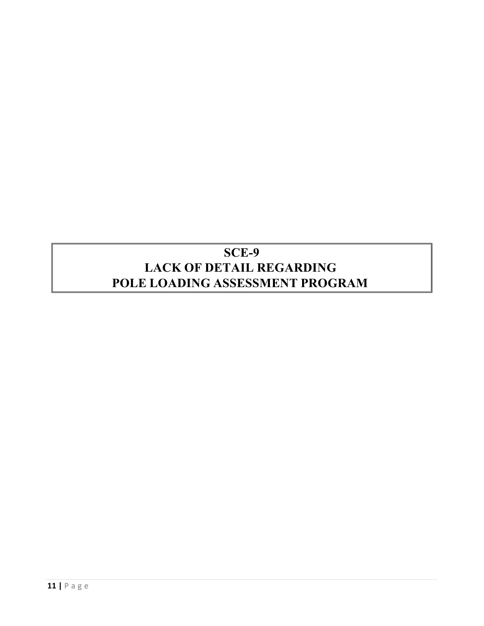## **SCE-9 LACK OF DETAIL REGARDING POLE LOADING ASSESSMENT PROGRAM**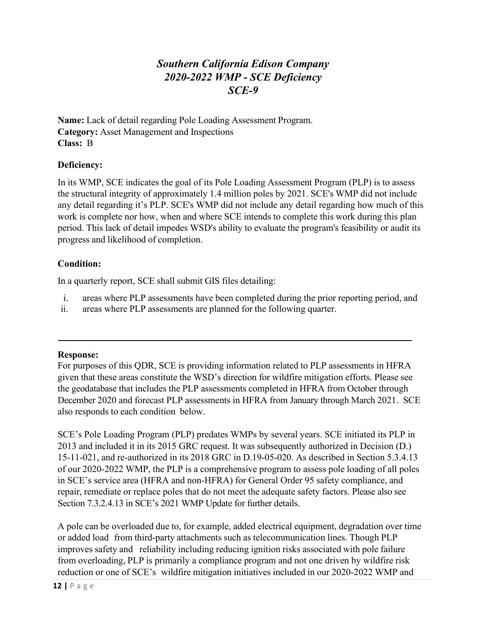### *Southern California Edison Company 2020-2022 WMP - SCE Deficiency SCE-9*

<span id="page-13-0"></span>**Name:** Lack of detail regarding Pole Loading Assessment Program. **Category:** Asset Management and Inspections **Class:** B

#### **Deficiency:**

In its WMP, SCE indicates the goal of its Pole Loading Assessment Program (PLP) is to assess the structural integrity of approximately 1.4 million poles by 2021. SCE's WMP did not include any detail regarding it's PLP. SCE's WMP did not include any detail regarding how much of this work is complete nor how, when and where SCE intends to complete this work during this plan period. This lack of detail impedes WSD's ability to evaluate the program's feasibility or audit its progress and likelihood of completion.

#### **Condition:**

In a quarterly report, SCE shall submit GIS files detailing:

- i. areas where PLP assessments have been completed during the prior reporting period, and
- ii. areas where PLP assessments are planned for the following quarter.

#### **Response:**

For purposes of this QDR, SCE is providing information related to PLP assessments in HFRA given that these areas constitute the WSD's direction for wildfire mitigation efforts. Please see the geodatabase that includes the PLP assessments completed in HFRA from October through December 2020 and forecast PLP assessments in HFRA from January through March 2021. SCE also responds to each condition below.

SCE's Pole Loading Program (PLP) predates WMPs by several years. SCE initiated its PLP in 2013 and included it in its 2015 GRC request. It was subsequently authorized in Decision (D.) 15-11-021, and re-authorized in its 2018 GRC in D.19-05-020. As described in Section 5.3.4.13 of our 2020-2022 WMP, the PLP is a comprehensive program to assess pole loading of all poles in SCE's service area (HFRA and non-HFRA) for General Order 95 safety compliance, and repair, remediate or replace poles that do not meet the adequate safety factors. Please also see Section 7.3.2.4.13 in SCE's 2021 WMP Update for further details.

A pole can be overloaded due to, for example, added electrical equipment, degradation over time or added load from third-party attachments such as telecommunication lines. Though PLP improves safety and reliability including reducing ignition risks associated with pole failure from overloading, PLP is primarily a compliance program and not one driven by wildfire risk reduction or one of SCE's wildfire mitigation initiatives included in our 2020-2022 WMP and